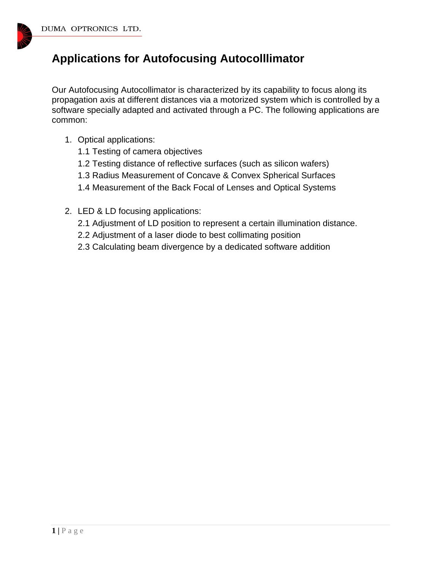

## **Applications for Autofocusing Autocolllimator**

Our Autofocusing Autocollimator is characterized by its capability to focus along its propagation axis at different distances via a motorized system which is controlled by a software specially adapted and activated through a PC. The following applications are common:

- 1. Optical applications:
	- 1.1 Testing of camera objectives
	- 1.2 Testing distance of reflective surfaces (such as silicon wafers)
	- 1.3 Radius Measurement of Concave & Convex Spherical Surfaces
	- 1.4 Measurement of the Back Focal of Lenses and Optical Systems
- 2. LED & LD focusing applications:
	- 2.1 Adjustment of LD position to represent a certain illumination distance.
	- 2.2 Adjustment of a laser diode to best collimating position
	- 2.3 Calculating beam divergence by a dedicated software addition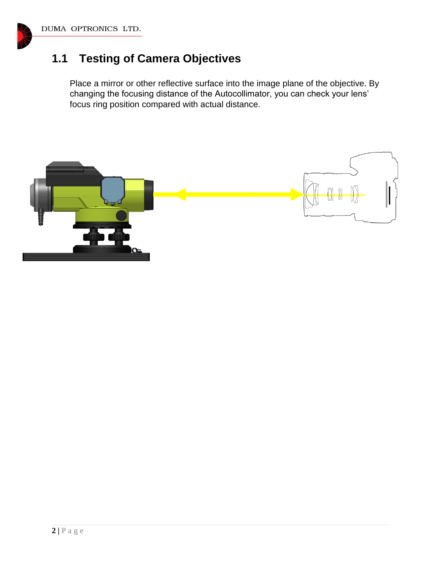# **1.1 Testing of Camera Objectives**

Place a mirror or other reflective surface into the image plane of the objective. By changing the focusing distance of the Autocollimator, you can check your lens' focus ring position compared with actual distance.

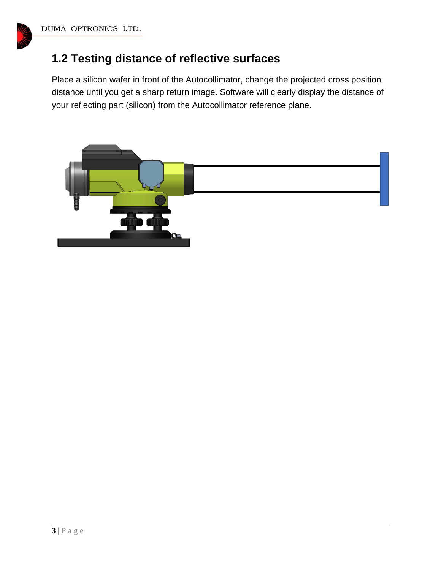## **1.2 Testing distance of reflective surfaces**

Place a silicon wafer in front of the Autocollimator, change the projected cross position distance until you get a sharp return image. Software will clearly display the distance of your reflecting part (silicon) from the Autocollimator reference plane.

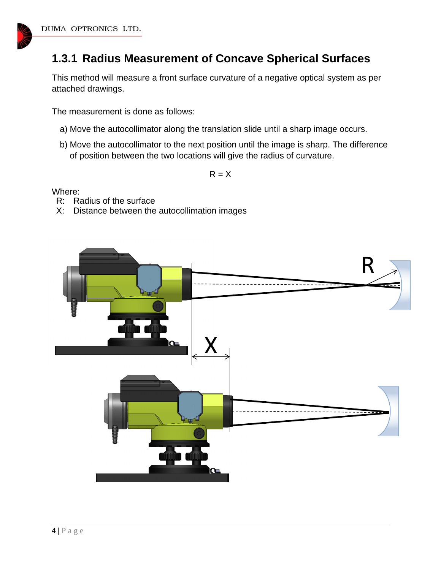

## **1.3.1 Radius Measurement of Concave Spherical Surfaces**

This method will measure a front surface curvature of a negative optical system as per attached drawings.

The measurement is done as follows:

- a) Move the autocollimator along the translation slide until a sharp image occurs.
- b) Move the autocollimator to the next position until the image is sharp. The difference of position between the two locations will give the radius of curvature.

 $R = X$ 

Where:

- R: Radius of the surface
- X: Distance between the autocollimation images

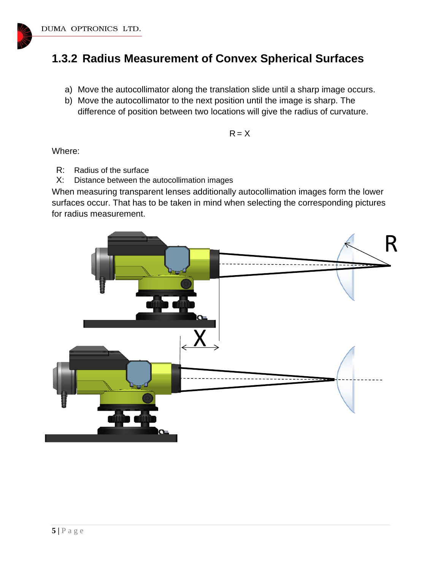#### **1.3.2 Radius Measurement of Convex Spherical Surfaces**

- a) Move the autocollimator along the translation slide until a sharp image occurs.
- b) Move the autocollimator to the next position until the image is sharp. The difference of position between two locations will give the radius of curvature.

$$
R = X
$$

Where:

- R: Radius of the surface
- X: Distance between the autocollimation images

When measuring transparent lenses additionally autocollimation images form the lower surfaces occur. That has to be taken in mind when selecting the corresponding pictures for radius measurement.

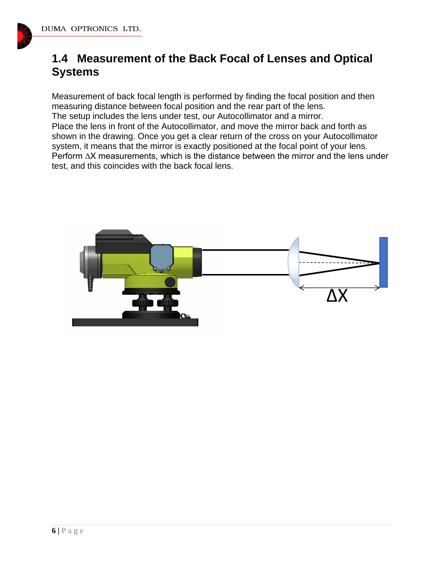

## **1.4 Measurement of the Back Focal of Lenses and Optical Systems**

Measurement of back focal length is performed by finding the focal position and then measuring distance between focal position and the rear part of the lens. The setup includes the lens under test, our Autocollimator and a mirror. Place the lens in front of the Autocollimator, and move the mirror back and forth as shown in the drawing. Once you get a clear return of the cross on your Autocollimator system, it means that the mirror is exactly positioned at the focal point of your lens. Perform ∆X measurements, which is the distance between the mirror and the lens under test, and this coincides with the back focal lens.

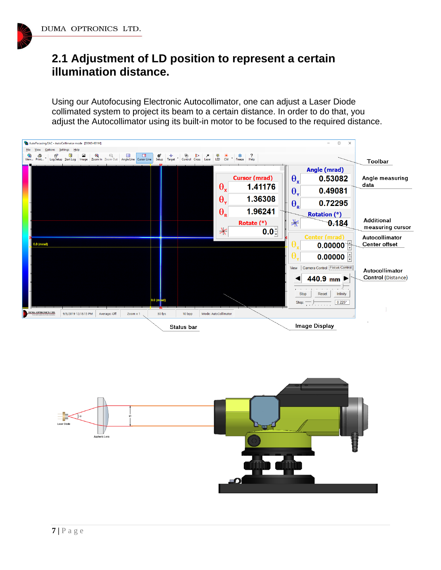### **2.1 Adjustment of LD position to represent a certain illumination distance.**

Using our Autofocusing Electronic Autocollimator, one can adjust a Laser Diode collimated system to project its beam to a certain distance. In order to do that, you adjust the Autocollimator using its built-in motor to be focused to the required distance.

![](_page_6_Figure_3.jpeg)

![](_page_6_Figure_4.jpeg)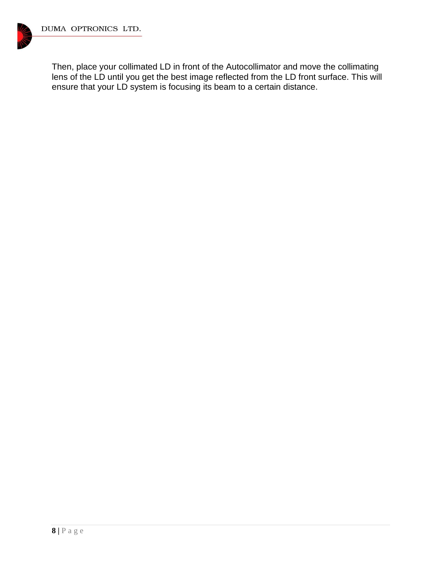![](_page_7_Picture_1.jpeg)

Then, place your collimated LD in front of the Autocollimator and move the collimating lens of the LD until you get the best image reflected from the LD front surface. This will ensure that your LD system is focusing its beam to a certain distance.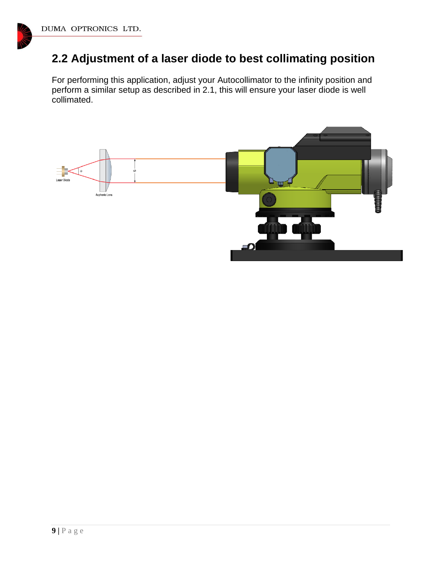# **2.2 Adjustment of a laser diode to best collimating position**

For performing this application, adjust your Autocollimator to the infinity position and perform a similar setup as described in 2.1, this will ensure your laser diode is well collimated.

![](_page_8_Figure_3.jpeg)